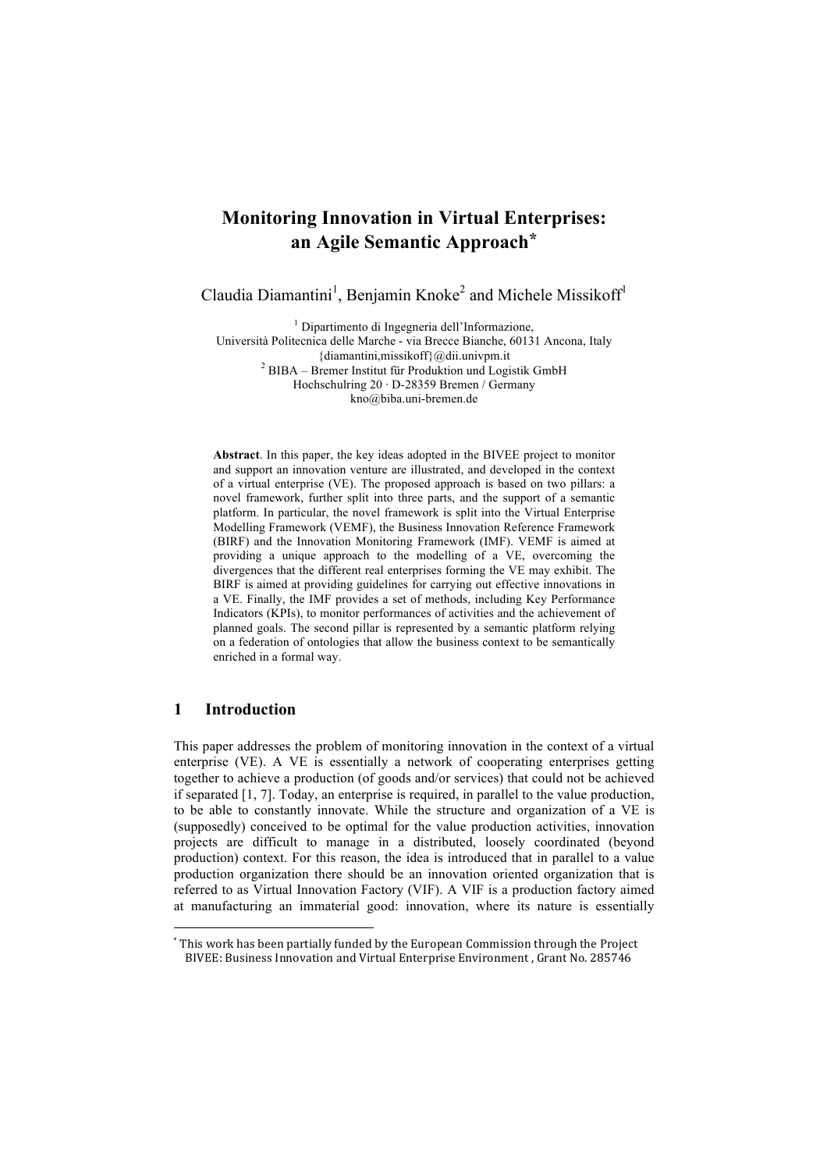# **Monitoring Innovation in Virtual Enterprises: an Agile Semantic Approach\***

Claudia Diamantini<sup>1</sup>, Benjamin Knoke<sup>2</sup> and Michele Missikoff<sup>1</sup>

<sup>1</sup> Dipartimento di Ingegneria dell'Informazione, Università Politecnica delle Marche - via Brecce Bianche, 60131 Ancona, Italy {diamantini,missikoff}@dii.univpm.it <sup>2</sup> BIBA – Bremer Institut für Produktion und Logistik GmbH Hochschulring 20 · D-28359 Bremen / Germany kno@biba.uni-bremen.de

**Abstract**. In this paper, the key ideas adopted in the BIVEE project to monitor and support an innovation venture are illustrated, and developed in the context of a virtual enterprise (VE). The proposed approach is based on two pillars: a novel framework, further split into three parts, and the support of a semantic platform. In particular, the novel framework is split into the Virtual Enterprise Modelling Framework (VEMF), the Business Innovation Reference Framework (BIRF) and the Innovation Monitoring Framework (IMF). VEMF is aimed at providing a unique approach to the modelling of a VE, overcoming the divergences that the different real enterprises forming the VE may exhibit. The BIRF is aimed at providing guidelines for carrying out effective innovations in a VE. Finally, the IMF provides a set of methods, including Key Performance Indicators (KPIs), to monitor performances of activities and the achievement of planned goals. The second pillar is represented by a semantic platform relying on a federation of ontologies that allow the business context to be semantically enriched in a formal way.

### **1 Introduction**

!!!!!!!!!!!!!!!!!!!!!!!!!!!!!!!!!!!!!!!!!!!!!!!!!!!!!!!

This paper addresses the problem of monitoring innovation in the context of a virtual enterprise (VE). A VE is essentially a network of cooperating enterprises getting together to achieve a production (of goods and/or services) that could not be achieved if separated [1, 7]. Today, an enterprise is required, in parallel to the value production, to be able to constantly innovate. While the structure and organization of a VE is (supposedly) conceived to be optimal for the value production activities, innovation projects are difficult to manage in a distributed, loosely coordinated (beyond production) context. For this reason, the idea is introduced that in parallel to a value production organization there should be an innovation oriented organization that is referred to as Virtual Innovation Factory (VIF). A VIF is a production factory aimed at manufacturing an immaterial good: innovation, where its nature is essentially

<sup>\*</sup> This work has been partially funded by the European Commission through the Project BIVEE: Business Innovation and Virtual Enterprise Environment, Grant No. 285746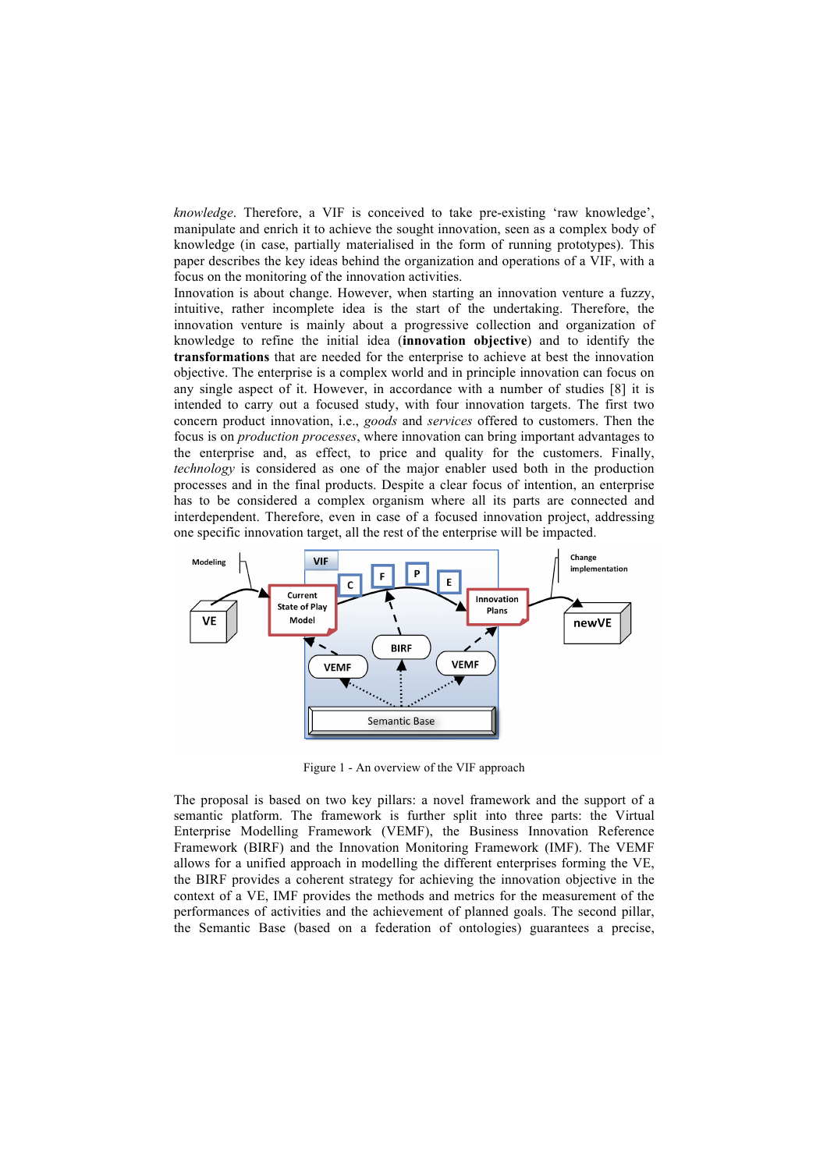*knowledge*. Therefore, a VIF is conceived to take pre-existing 'raw knowledge', manipulate and enrich it to achieve the sought innovation, seen as a complex body of knowledge (in case, partially materialised in the form of running prototypes). This paper describes the key ideas behind the organization and operations of a VIF, with a focus on the monitoring of the innovation activities.

Innovation is about change. However, when starting an innovation venture a fuzzy, intuitive, rather incomplete idea is the start of the undertaking. Therefore, the innovation venture is mainly about a progressive collection and organization of knowledge to refine the initial idea (**innovation objective**) and to identify the **transformations** that are needed for the enterprise to achieve at best the innovation objective. The enterprise is a complex world and in principle innovation can focus on any single aspect of it. However, in accordance with a number of studies [8] it is intended to carry out a focused study, with four innovation targets. The first two concern product innovation, i.e., *goods* and *services* offered to customers. Then the focus is on *production processes*, where innovation can bring important advantages to the enterprise and, as effect, to price and quality for the customers. Finally, *technology* is considered as one of the major enabler used both in the production processes and in the final products. Despite a clear focus of intention, an enterprise has to be considered a complex organism where all its parts are connected and interdependent. Therefore, even in case of a focused innovation project, addressing one specific innovation target, all the rest of the enterprise will be impacted.



Figure 1 - An overview of the VIF approach

The proposal is based on two key pillars: a novel framework and the support of a semantic platform. The framework is further split into three parts: the Virtual Enterprise Modelling Framework (VEMF), the Business Innovation Reference Framework (BIRF) and the Innovation Monitoring Framework (IMF). The VEMF allows for a unified approach in modelling the different enterprises forming the VE, the BIRF provides a coherent strategy for achieving the innovation objective in the context of a VE, IMF provides the methods and metrics for the measurement of the performances of activities and the achievement of planned goals. The second pillar, the Semantic Base (based on a federation of ontologies) guarantees a precise,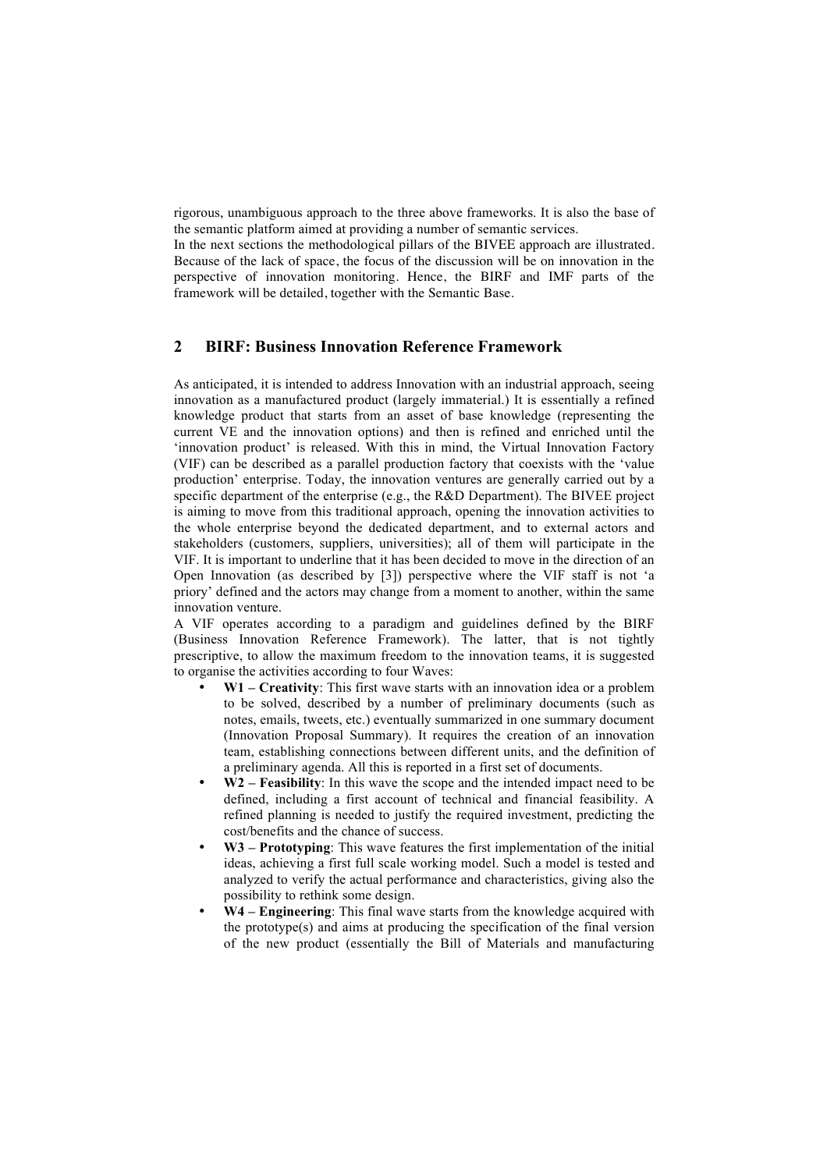rigorous, unambiguous approach to the three above frameworks. It is also the base of the semantic platform aimed at providing a number of semantic services.

In the next sections the methodological pillars of the BIVEE approach are illustrated. Because of the lack of space, the focus of the discussion will be on innovation in the perspective of innovation monitoring. Hence, the BIRF and IMF parts of the framework will be detailed, together with the Semantic Base.

# **2 BIRF: Business Innovation Reference Framework**

As anticipated, it is intended to address Innovation with an industrial approach, seeing innovation as a manufactured product (largely immaterial.) It is essentially a refined knowledge product that starts from an asset of base knowledge (representing the current VE and the innovation options) and then is refined and enriched until the 'innovation product' is released. With this in mind, the Virtual Innovation Factory (VIF) can be described as a parallel production factory that coexists with the 'value production' enterprise. Today, the innovation ventures are generally carried out by a specific department of the enterprise (e.g., the R&D Department). The BIVEE project is aiming to move from this traditional approach, opening the innovation activities to the whole enterprise beyond the dedicated department, and to external actors and stakeholders (customers, suppliers, universities); all of them will participate in the VIF. It is important to underline that it has been decided to move in the direction of an Open Innovation (as described by [3]) perspective where the VIF staff is not 'a priory' defined and the actors may change from a moment to another, within the same innovation venture.

A VIF operates according to a paradigm and guidelines defined by the BIRF (Business Innovation Reference Framework). The latter, that is not tightly prescriptive, to allow the maximum freedom to the innovation teams, it is suggested to organise the activities according to four Waves:

- **W1 Creativity**: This first wave starts with an innovation idea or a problem to be solved, described by a number of preliminary documents (such as notes, emails, tweets, etc.) eventually summarized in one summary document (Innovation Proposal Summary). It requires the creation of an innovation team, establishing connections between different units, and the definition of a preliminary agenda. All this is reported in a first set of documents.
- **W2 Feasibility**: In this wave the scope and the intended impact need to be defined, including a first account of technical and financial feasibility. A refined planning is needed to justify the required investment, predicting the cost/benefits and the chance of success.
- **W3 Prototyping**: This wave features the first implementation of the initial ideas, achieving a first full scale working model. Such a model is tested and analyzed to verify the actual performance and characteristics, giving also the possibility to rethink some design.
- **W4 Engineering**: This final wave starts from the knowledge acquired with the prototype(s) and aims at producing the specification of the final version of the new product (essentially the Bill of Materials and manufacturing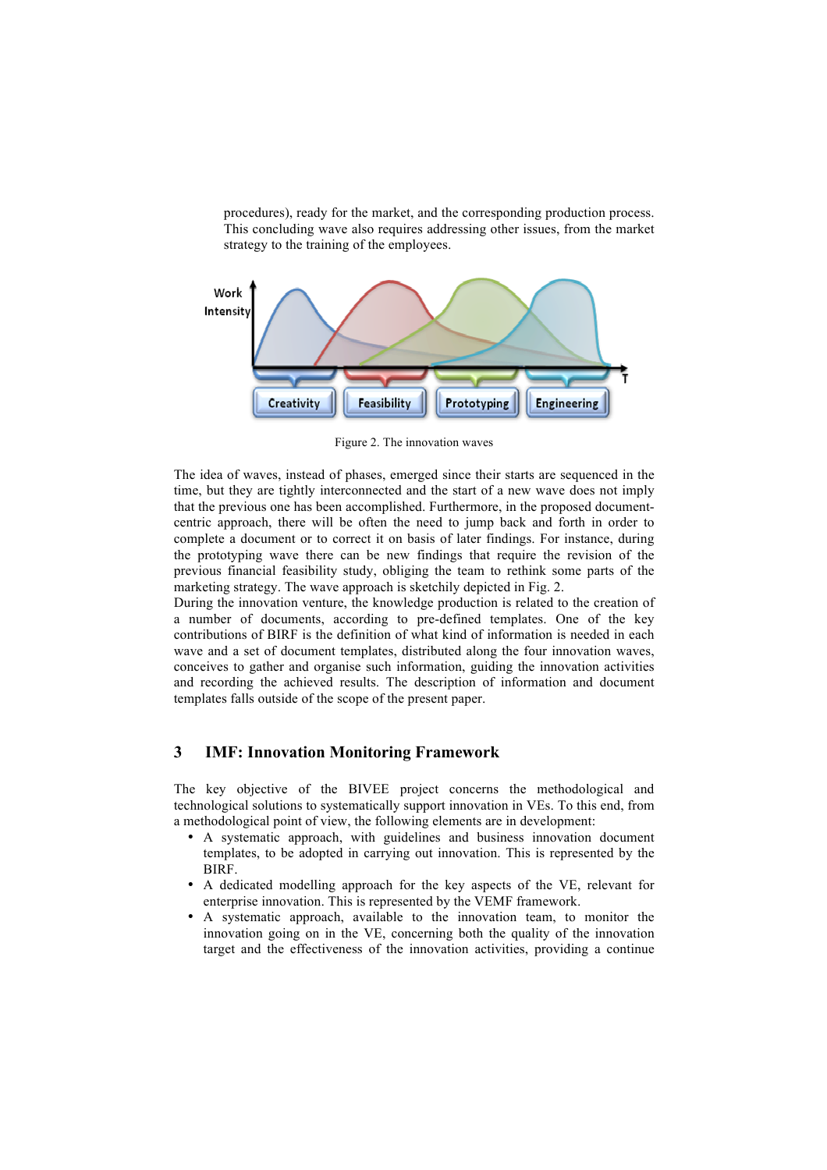procedures), ready for the market, and the corresponding production process. This concluding wave also requires addressing other issues, from the market strategy to the training of the employees.



Figure 2. The innovation waves

The idea of waves, instead of phases, emerged since their starts are sequenced in the time, but they are tightly interconnected and the start of a new wave does not imply that the previous one has been accomplished. Furthermore, in the proposed documentcentric approach, there will be often the need to jump back and forth in order to complete a document or to correct it on basis of later findings. For instance, during the prototyping wave there can be new findings that require the revision of the previous financial feasibility study, obliging the team to rethink some parts of the marketing strategy. The wave approach is sketchily depicted in Fig. 2.

During the innovation venture, the knowledge production is related to the creation of a number of documents, according to pre-defined templates. One of the key contributions of BIRF is the definition of what kind of information is needed in each wave and a set of document templates, distributed along the four innovation waves, conceives to gather and organise such information, guiding the innovation activities and recording the achieved results. The description of information and document templates falls outside of the scope of the present paper.

## **3 IMF: Innovation Monitoring Framework**

The key objective of the BIVEE project concerns the methodological and technological solutions to systematically support innovation in VEs. To this end, from a methodological point of view, the following elements are in development:

- A systematic approach, with guidelines and business innovation document templates, to be adopted in carrying out innovation. This is represented by the **BIRF.**
- A dedicated modelling approach for the key aspects of the VE, relevant for enterprise innovation. This is represented by the VEMF framework.
- A systematic approach, available to the innovation team, to monitor the innovation going on in the VE, concerning both the quality of the innovation target and the effectiveness of the innovation activities, providing a continue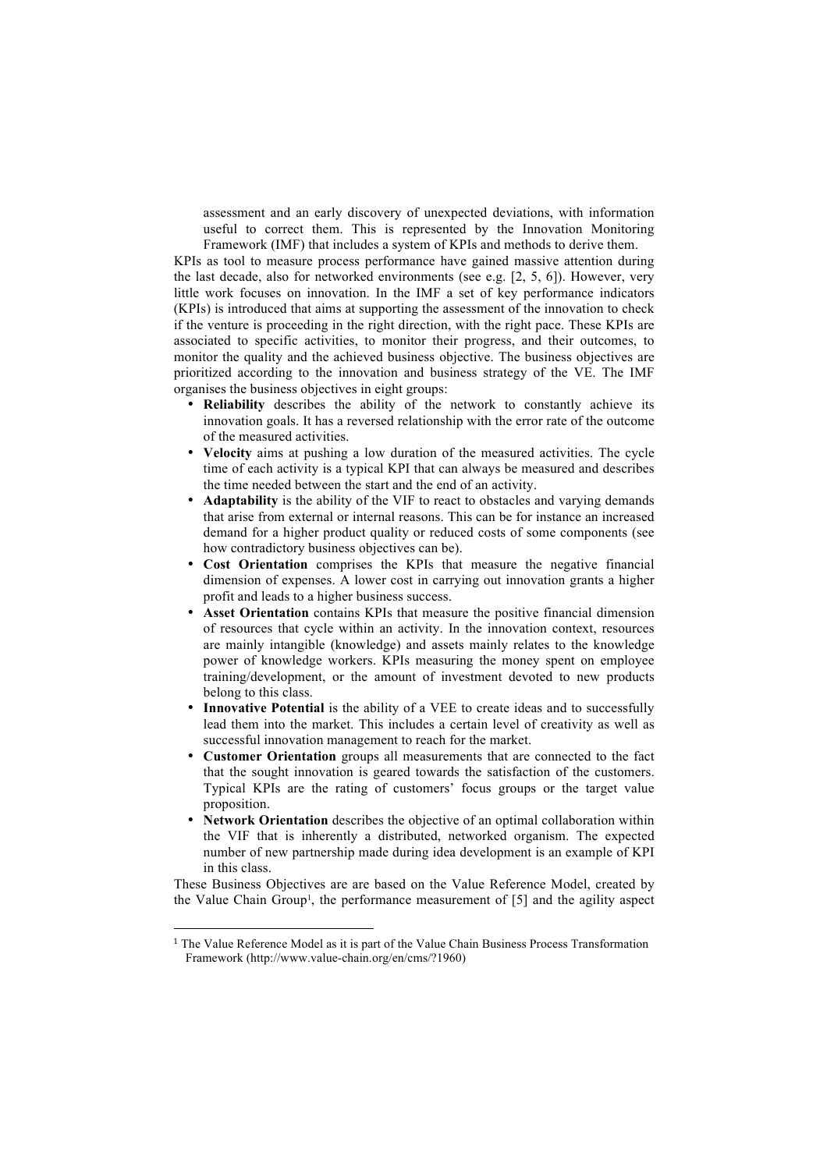assessment and an early discovery of unexpected deviations, with information useful to correct them. This is represented by the Innovation Monitoring Framework (IMF) that includes a system of KPIs and methods to derive them.

KPIs as tool to measure process performance have gained massive attention during the last decade, also for networked environments (see e.g. [2, 5, 6]). However, very little work focuses on innovation. In the IMF a set of key performance indicators (KPIs) is introduced that aims at supporting the assessment of the innovation to check if the venture is proceeding in the right direction, with the right pace. These KPIs are associated to specific activities, to monitor their progress, and their outcomes, to monitor the quality and the achieved business objective. The business objectives are prioritized according to the innovation and business strategy of the VE. The IMF organises the business objectives in eight groups:

- **Reliability** describes the ability of the network to constantly achieve its innovation goals. It has a reversed relationship with the error rate of the outcome of the measured activities.
- **Velocity** aims at pushing a low duration of the measured activities. The cycle time of each activity is a typical KPI that can always be measured and describes the time needed between the start and the end of an activity.
- **Adaptability** is the ability of the VIF to react to obstacles and varying demands that arise from external or internal reasons. This can be for instance an increased demand for a higher product quality or reduced costs of some components (see how contradictory business objectives can be).
- **Cost Orientation** comprises the KPIs that measure the negative financial dimension of expenses. A lower cost in carrying out innovation grants a higher profit and leads to a higher business success.
- **Asset Orientation** contains KPIs that measure the positive financial dimension of resources that cycle within an activity. In the innovation context, resources are mainly intangible (knowledge) and assets mainly relates to the knowledge power of knowledge workers. KPIs measuring the money spent on employee training/development, or the amount of investment devoted to new products belong to this class.
- **Innovative Potential** is the ability of a VEE to create ideas and to successfully lead them into the market. This includes a certain level of creativity as well as successful innovation management to reach for the market.
- **Customer Orientation** groups all measurements that are connected to the fact that the sought innovation is geared towards the satisfaction of the customers. Typical KPIs are the rating of customers' focus groups or the target value proposition.
- Network Orientation describes the objective of an optimal collaboration within the VIF that is inherently a distributed, networked organism. The expected number of new partnership made during idea development is an example of KPI in this class.

These Business Objectives are are based on the Value Reference Model, created by the Value Chain Group<sup>1</sup>, the performance measurement of [5] and the agility aspect

!!!!!!!!!!!!!!!!!!!!!!!!!!!!!!!!!!!!!!!!!!!!!!!!!!!!!!!

 $<sup>1</sup>$  The Value Reference Model as it is part of the Value Chain Business Process Transformation</sup> Framework (http://www.value-chain.org/en/cms/?1960)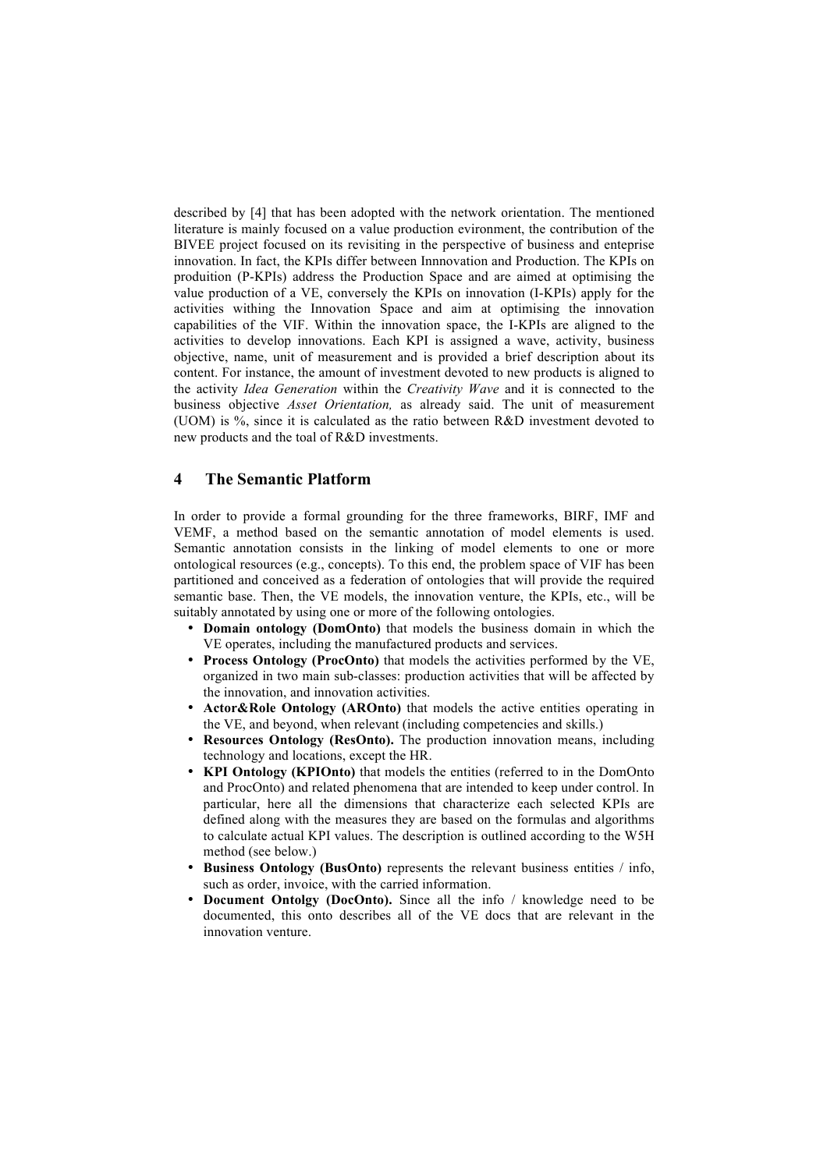described by [4] that has been adopted with the network orientation. The mentioned literature is mainly focused on a value production evironment, the contribution of the BIVEE project focused on its revisiting in the perspective of business and enteprise innovation. In fact, the KPIs differ between Innnovation and Production. The KPIs on produition (P-KPIs) address the Production Space and are aimed at optimising the value production of a VE, conversely the KPIs on innovation (I-KPIs) apply for the activities withing the Innovation Space and aim at optimising the innovation capabilities of the VIF. Within the innovation space, the I-KPIs are aligned to the activities to develop innovations. Each KPI is assigned a wave, activity, business objective, name, unit of measurement and is provided a brief description about its content. For instance, the amount of investment devoted to new products is aligned to the activity *Idea Generation* within the *Creativity Wave* and it is connected to the business objective *Asset Orientation,* as already said. The unit of measurement (UOM) is %, since it is calculated as the ratio between R&D investment devoted to new products and the toal of R&D investments.

#### **4 The Semantic Platform**

In order to provide a formal grounding for the three frameworks, BIRF, IMF and VEMF, a method based on the semantic annotation of model elements is used. Semantic annotation consists in the linking of model elements to one or more ontological resources (e.g., concepts). To this end, the problem space of VIF has been partitioned and conceived as a federation of ontologies that will provide the required semantic base. Then, the VE models, the innovation venture, the KPIs, etc., will be suitably annotated by using one or more of the following ontologies.

- **Domain ontology (DomOnto)** that models the business domain in which the VE operates, including the manufactured products and services.
- **Process Ontology (ProcOnto)** that models the activities performed by the VE, organized in two main sub-classes: production activities that will be affected by the innovation, and innovation activities.
- **Actor&Role Ontology (AROnto)** that models the active entities operating in the VE, and beyond, when relevant (including competencies and skills.)
- **Resources Ontology (ResOnto).** The production innovation means, including technology and locations, except the HR.
- **KPI Ontology (KPIOnto)** that models the entities (referred to in the DomOnto and ProcOnto) and related phenomena that are intended to keep under control. In particular, here all the dimensions that characterize each selected KPIs are defined along with the measures they are based on the formulas and algorithms to calculate actual KPI values. The description is outlined according to the W5H method (see below.)
- **Business Ontology (BusOnto)** represents the relevant business entities / info, such as order, invoice, with the carried information.
- **Document Ontolgy (DocOnto).** Since all the info / knowledge need to be documented, this onto describes all of the VE docs that are relevant in the innovation venture.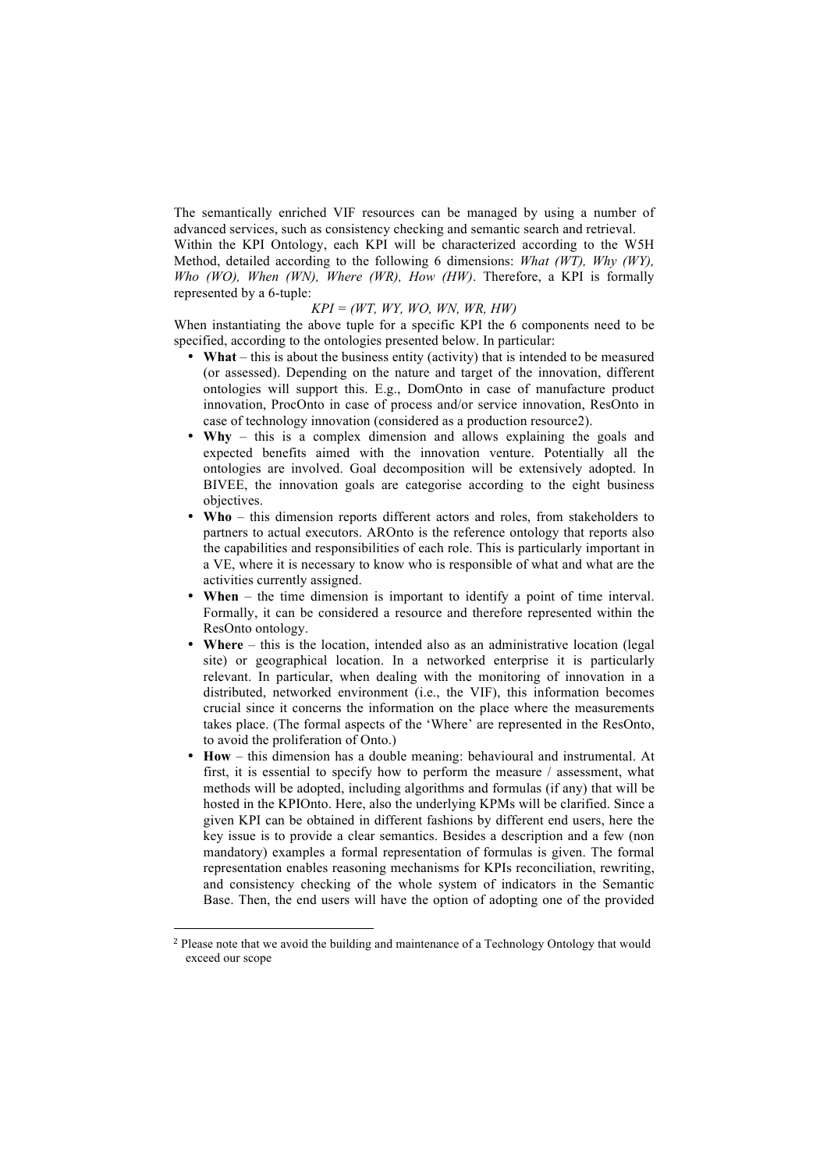The semantically enriched VIF resources can be managed by using a number of advanced services, such as consistency checking and semantic search and retrieval.

Within the KPI Ontology, each KPI will be characterized according to the W5H Method, detailed according to the following 6 dimensions: *What (WT), Why (WY), Who (WO), When (WN), Where (WR), How (HW)*. Therefore, a KPI is formally represented by a 6-tuple:

#### *KPI = (WT, WY, WO, WN, WR, HW)*

When instantiating the above tuple for a specific KPI the 6 components need to be specified, according to the ontologies presented below. In particular:

- **What** this is about the business entity (activity) that is intended to be measured (or assessed). Depending on the nature and target of the innovation, different ontologies will support this. E.g., DomOnto in case of manufacture product innovation, ProcOnto in case of process and/or service innovation, ResOnto in case of technology innovation (considered as a production resource2).
- **Why** this is a complex dimension and allows explaining the goals and expected benefits aimed with the innovation venture. Potentially all the ontologies are involved. Goal decomposition will be extensively adopted. In BIVEE, the innovation goals are categorise according to the eight business objectives.
- **Who** this dimension reports different actors and roles, from stakeholders to partners to actual executors. AROnto is the reference ontology that reports also the capabilities and responsibilities of each role. This is particularly important in a VE, where it is necessary to know who is responsible of what and what are the activities currently assigned.
- **When** the time dimension is important to identify a point of time interval. Formally, it can be considered a resource and therefore represented within the ResOnto ontology.
- **Where** this is the location, intended also as an administrative location (legal site) or geographical location. In a networked enterprise it is particularly relevant. In particular, when dealing with the monitoring of innovation in a distributed, networked environment (i.e., the VIF), this information becomes crucial since it concerns the information on the place where the measurements takes place. (The formal aspects of the 'Where' are represented in the ResOnto, to avoid the proliferation of Onto.)
- **How** this dimension has a double meaning: behavioural and instrumental. At first, it is essential to specify how to perform the measure / assessment, what methods will be adopted, including algorithms and formulas (if any) that will be hosted in the KPIOnto. Here, also the underlying KPMs will be clarified. Since a given KPI can be obtained in different fashions by different end users, here the key issue is to provide a clear semantics. Besides a description and a few (non mandatory) examples a formal representation of formulas is given. The formal representation enables reasoning mechanisms for KPIs reconciliation, rewriting, and consistency checking of the whole system of indicators in the Semantic Base. Then, the end users will have the option of adopting one of the provided

!!!!!!!!!!!!!!!!!!!!!!!!!!!!!!!!!!!!!!!!!!!!!!!!!!!!!!!

<sup>2</sup> Please note that we avoid the building and maintenance of a Technology Ontology that would exceed our scope